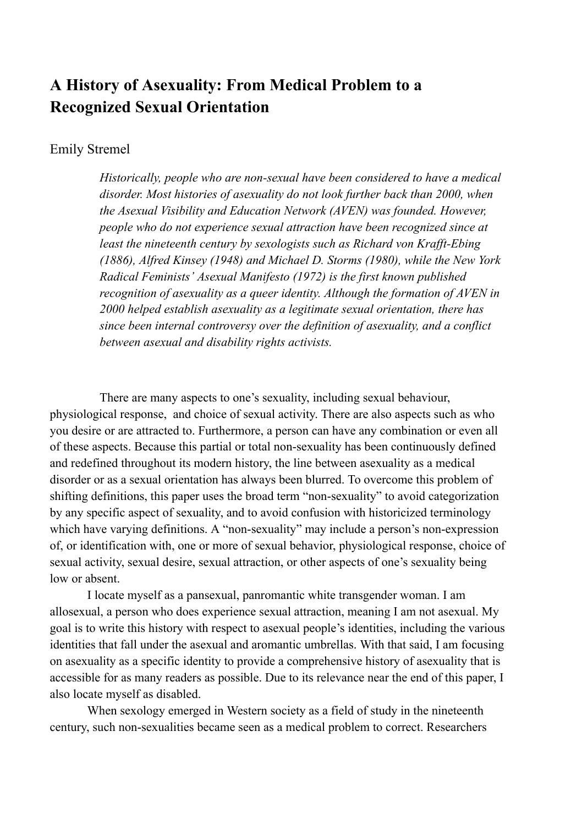# **A History of Asexuality: From Medical Problem to a Recognized Sexual Orientation**

### Emily Stremel

*Historically, people who are non-sexual have been considered to have a medical disorder. Most histories of asexuality do not look further back than 2000, when the Asexual Visibility and Education Network (AVEN) was founded. However, people who do not experience sexual attraction have been recognized since at least the nineteenth century by sexologists such as Richard von Krafft-Ebing (1886), Alfred Kinsey (1948) and Michael D. Storms (1980), while the New York Radical Feminists' Asexual Manifesto (1972) is the first known published recognition of asexuality as a queer identity. Although the formation of AVEN in 2000 helped establish asexuality as a legitimate sexual orientation, there has since been internal controversy over the definition of asexuality, and a conflict between asexual and disability rights activists.*

There are many aspects to one's sexuality, including sexual behaviour, physiological response, and choice of sexual activity. There are also aspects such as who you desire or are attracted to. Furthermore, a person can have any combination or even all of these aspects. Because this partial or total non-sexuality has been continuously defined and redefined throughout its modern history, the line between asexuality as a medical disorder or as a sexual orientation has always been blurred. To overcome this problem of shifting definitions, this paper uses the broad term "non-sexuality" to avoid categorization by any specific aspect of sexuality, and to avoid confusion with historicized terminology which have varying definitions. A "non-sexuality" may include a person's non-expression of, or identification with, one or more of sexual behavior, physiological response, choice of sexual activity, sexual desire, sexual attraction, or other aspects of one's sexuality being low or absent.

I locate myself as a pansexual, panromantic white transgender woman. I am allosexual, a person who does experience sexual attraction, meaning I am not asexual. My goal is to write this history with respect to asexual people's identities, including the various identities that fall under the asexual and aromantic umbrellas. With that said, I am focusing on asexuality as a specific identity to provide a comprehensive history of asexuality that is accessible for as many readers as possible. Due to its relevance near the end of this paper, I also locate myself as disabled.

When sexology emerged in Western society as a field of study in the nineteenth century, such non-sexualities became seen as a medical problem to correct. Researchers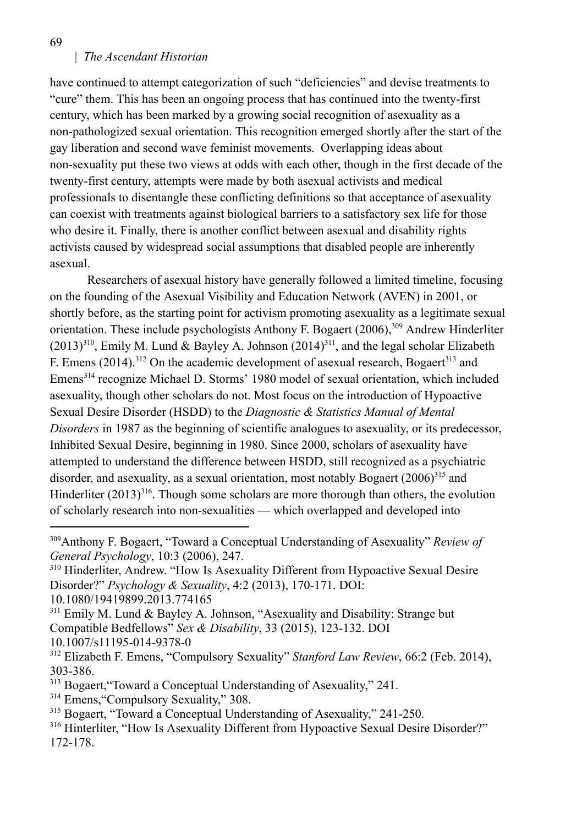69

#### | *The Ascendant Historian*

have continued to attempt categorization of such "deficiencies" and devise treatments to "cure" them. This has been an ongoing process that has continued into the twenty-first century, which has been marked by a growing social recognition of asexuality as a non-pathologized sexual orientation. This recognition emerged shortly after the start of the gay liberation and second wave feminist movements. Overlapping ideas about non-sexuality put these two views at odds with each other, though in the first decade of the twenty-first century, attempts were made by both asexual activists and medical professionals to disentangle these conflicting definitions so that acceptance of asexuality can coexist with treatments against biological barriers to a satisfactory sex life for those who desire it. Finally, there is another conflict between asexual and disability rights activists caused by widespread social assumptions that disabled people are inherently asexual.

Researchers of asexual history have generally followed a limited timeline, focusing on the founding of the Asexual Visibility and Education Network (AVEN) in 2001, or shortly before, as the starting point for activism promoting asexuality as a legitimate sexual orientation. These include psychologists Anthony F. Bogaert (2006),<sup>309</sup> Andrew Hinderliter  $(2013)^{310}$ , Emily M. Lund & Bayley A. Johnson  $(2014)^{311}$ , and the legal scholar Elizabeth F. Emens  $(2014)$ .<sup>312</sup> On the academic development of asexual research, Bogaert<sup>313</sup> and Emens<sup>314</sup> recognize Michael D. Storms' 1980 model of sexual orientation, which included asexuality, though other scholars do not. Most focus on the introduction of Hypoactive Sexual Desire Disorder (HSDD) to the *Diagnostic & Statistics Manual of Mental Disorders* in 1987 as the beginning of scientific analogues to asexuality, or its predecessor, Inhibited Sexual Desire, beginning in 1980. Since 2000, scholars of asexuality have attempted to understand the difference between HSDD, still recognized as a psychiatric disorder, and asexuality, as a sexual orientation, most notably Bogaert  $(2006)^{315}$  and Hinderliter  $(2013)^{316}$ . Though some scholars are more thorough than others, the evolution of scholarly research into non-sexualities — which overlapped and developed into

- <sup>313</sup> Bogaert, "Toward a Conceptual Understanding of Asexuality," 241.
- <sup>314</sup> Emens, "Compulsory Sexuality," 308.
- <sup>315</sup> Bogaert, "Toward a Conceptual Understanding of Asexuality," 241-250.
- <sup>316</sup> Hinterliter, "How Is Asexuality Different from Hypoactive Sexual Desire Disorder?" 172-178.

<sup>309</sup>Anthony F. Bogaert, "Toward a Conceptual Understanding of Asexuality" *Review of General Psychology*, 10:3 (2006), 247.

<sup>&</sup>lt;sup>310</sup> Hinderliter, Andrew. "How Is Asexuality Different from Hypoactive Sexual Desire Disorder?" *Psychology & Sexuality*, 4:2 (2013), 170-171. DOI: 10.1080/19419899.2013.774165

<sup>&</sup>lt;sup>311</sup> Emily M. Lund & Bayley A. Johnson, "Asexuality and Disability: Strange but Compatible Bedfellows" *Sex & Disability*, 33 (2015), 123-132. DOI 10.1007/s11195-014-9378-0

<sup>312</sup> Elizabeth F. Emens, "Compulsory Sexuality" *Stanford Law Review*, 66:2 (Feb. 2014), 303-386.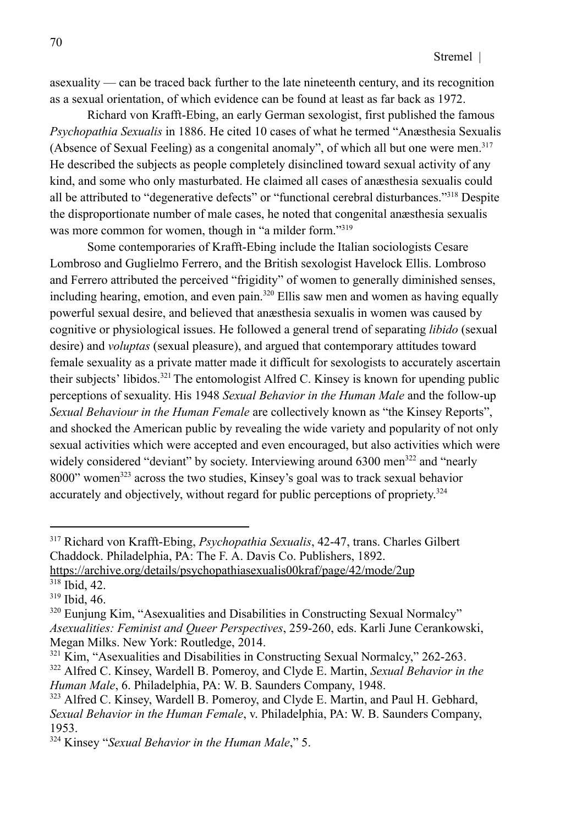asexuality — can be traced back further to the late nineteenth century, and its recognition as a sexual orientation, of which evidence can be found at least as far back as 1972.

Richard von Krafft-Ebing, an early German sexologist, first published the famous *Psychopathia Sexualis* in 1886. He cited 10 cases of what he termed "Anæsthesia Sexualis (Absence of Sexual Feeling) as a congenital anomaly", of which all but one were men.<sup>317</sup> He described the subjects as people completely disinclined toward sexual activity of any kind, and some who only masturbated. He claimed all cases of anæsthesia sexualis could all be attributed to "degenerative defects" or "functional cerebral disturbances."<sup>318</sup> Despite the disproportionate number of male cases, he noted that congenital anæsthesia sexualis was more common for women, though in "a milder form."<sup>319</sup>

Some contemporaries of Krafft-Ebing include the Italian sociologists Cesare Lombroso and Guglielmo Ferrero, and the British sexologist Havelock Ellis. Lombroso and Ferrero attributed the perceived "frigidity" of women to generally diminished senses, including hearing, emotion, and even pain.<sup>320</sup> Ellis saw men and women as having equally powerful sexual desire, and believed that anæsthesia sexualis in women was caused by cognitive or physiological issues. He followed a general trend of separating *libido* (sexual desire) and *voluptas* (sexual pleasure), and argued that contemporary attitudes toward female sexuality as a private matter made it difficult for sexologists to accurately ascertain their subjects' libidos.<sup>321</sup> The entomologist Alfred C. Kinsey is known for upending public perceptions of sexuality. His 1948 *Sexual Behavior in the Human Male* and the follow-up *Sexual Behaviour in the Human Female* are collectively known as "the Kinsey Reports", and shocked the American public by revealing the wide variety and popularity of not only sexual activities which were accepted and even encouraged, but also activities which were widely considered "deviant" by society. Interviewing around 6300 men<sup>322</sup> and "nearly 8000" women<sup>323</sup> across the two studies. Kinsey's goal was to track sexual behavior accurately and objectively, without regard for public perceptions of propriety.<sup>324</sup>

<sup>317</sup> Richard von Krafft-Ebing, *Psychopathia Sexualis*, 42-47, trans. Charles Gilbert Chaddock. Philadelphia, PA: The F. A. Davis Co. Publishers, 1892.

<sup>318</sup> Ibid, 42. https://archive.org/details/psychopathiasexualis00kraf/page/42/mode/2up

<sup>319</sup> Ibid, 46.

<sup>320</sup> Eunjung Kim, "Asexualities and Disabilities in Constructing Sexual Normalcy" *Asexualities: Feminist and Queer Perspectives*, 259-260, eds. Karli June Cerankowski, Megan Milks. New York: Routledge, 2014.

<sup>322</sup> Alfred C. Kinsey, Wardell B. Pomeroy, and Clyde E. Martin, *Sexual Behavior in the Human Male*, 6. Philadelphia, PA: W. B. Saunders Company, 1948.  $321$  Kim, "Asexualities and Disabilities in Constructing Sexual Normalcy," 262-263.

<sup>323</sup> Alfred C. Kinsey, Wardell B. Pomeroy, and Clyde E. Martin, and Paul H. Gebhard, *Sexual Behavior in the Human Female*, v. Philadelphia, PA: W. B. Saunders Company, 1953.

<sup>324</sup> Kinsey "*Sexual Behavior in the Human Male*," 5.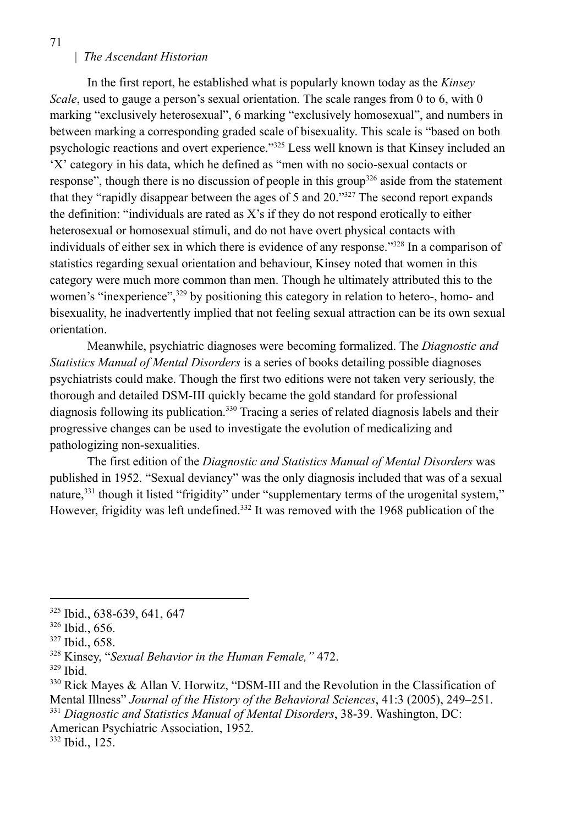In the first report, he established what is popularly known today as the *Kinsey Scale*, used to gauge a person's sexual orientation. The scale ranges from 0 to 6, with 0 marking "exclusively heterosexual", 6 marking "exclusively homosexual", and numbers in between marking a corresponding graded scale of bisexuality. This scale is "based on both psychologic reactions and overt experience."<sup>325</sup> Less well known is that Kinsey included an 'X' category in his data, which he defined as "men with no socio-sexual contacts or response", though there is no discussion of people in this group<sup>326</sup> aside from the statement that they "rapidly disappear between the ages of 5 and 20."<sup>327</sup> The second report expands the definition: "individuals are rated as X's if they do not respond erotically to either heterosexual or homosexual stimuli, and do not have overt physical contacts with individuals of either sex in which there is evidence of any response."<sup>328</sup> In a comparison of statistics regarding sexual orientation and behaviour, Kinsey noted that women in this category were much more common than men. Though he ultimately attributed this to the women's "inexperience",<sup>329</sup> by positioning this category in relation to hetero-, homo- and bisexuality, he inadvertently implied that not feeling sexual attraction can be its own sexual orientation.

Meanwhile, psychiatric diagnoses were becoming formalized. The *Diagnostic and Statistics Manual of Mental Disorders* is a series of books detailing possible diagnoses psychiatrists could make. Though the first two editions were not taken very seriously, the thorough and detailed DSM-III quickly became the gold standard for professional diagnosis following its publication.<sup>330</sup> Tracing a series of related diagnosis labels and their progressive changes can be used to investigate the evolution of medicalizing and pathologizing non-sexualities.

The first edition of the *Diagnostic and Statistics Manual of Mental Disorders* was published in 1952. "Sexual deviancy" was the only diagnosis included that was of a sexual nature,<sup>331</sup> though it listed "frigidity" under "supplementary terms of the urogenital system," However, frigidity was left undefined.<sup>332</sup> It was removed with the 1968 publication of the

<sup>325</sup> Ibid., 638-639, 641, 647

<sup>326</sup> Ibid., 656.

<sup>327</sup> Ibid., 658.

<sup>328</sup> Kinsey, "*Sexual Behavior in the Human Female,"* 472.

<sup>329</sup> Ibid.

<sup>331</sup> *Diagnostic and Statistics Manual of Mental Disorders*, 38-39. Washington, DC:  $330$  Rick Mayes & Allan V. Horwitz, "DSM-III and the Revolution in the Classification of Mental Illness" *Journal of the History of the Behavioral Sciences*, 41:3 (2005), 249–251.

American Psychiatric Association, 1952.

<sup>332</sup> Ibid., 125.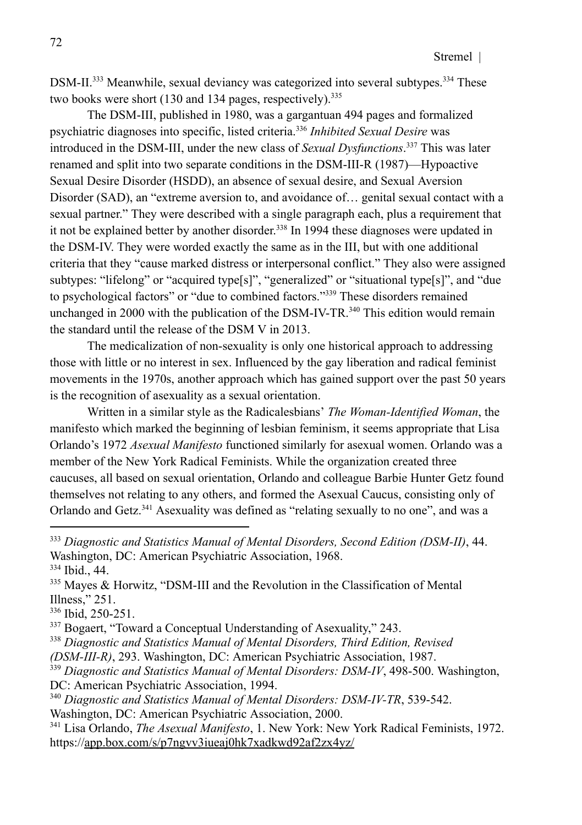DSM-II.<sup>333</sup> Meanwhile, sexual deviancy was categorized into several subtypes.<sup>334</sup> These two books were short  $(130 \text{ and } 134 \text{ pages}, \text{respectively})$ .<sup>335</sup>

The DSM-III, published in 1980, was a gargantuan 494 pages and formalized psychiatric diagnoses into specific, listed criteria.<sup>336</sup> *Inhibited Sexual Desire* was introduced in the DSM-III, under the new class of *Sexual Dysfunctions*. <sup>337</sup> This was later renamed and split into two separate conditions in the DSM-III-R (1987)—Hypoactive Sexual Desire Disorder (HSDD), an absence of sexual desire, and Sexual Aversion Disorder (SAD), an "extreme aversion to, and avoidance of… genital sexual contact with a sexual partner." They were described with a single paragraph each, plus a requirement that it not be explained better by another disorder. 338 In 1994 these diagnoses were updated in the DSM-IV. They were worded exactly the same as in the III, but with one additional criteria that they "cause marked distress or interpersonal conflict." They also were assigned subtypes: "lifelong" or "acquired type[s]", "generalized" or "situational type[s]", and "due to psychological factors" or "due to combined factors."<sup>339</sup> These disorders remained unchanged in 2000 with the publication of the DSM-IV-TR.<sup>340</sup> This edition would remain the standard until the release of the DSM V in 2013.

The medicalization of non-sexuality is only one historical approach to addressing those with little or no interest in sex. Influenced by the gay liberation and radical feminist movements in the 1970s, another approach which has gained support over the past 50 years is the recognition of asexuality as a sexual orientation.

Written in a similar style as the Radicalesbians' *The Woman-Identified Woman*, the manifesto which marked the beginning of lesbian feminism, it seems appropriate that Lisa Orlando's 1972 *Asexual Manifesto* functioned similarly for asexual women. Orlando was a member of the New York Radical Feminists. While the organization created three caucuses, all based on sexual orientation, Orlando and colleague Barbie Hunter Getz found themselves not relating to any others, and formed the Asexual Caucus, consisting only of Orlando and Getz.<sup>341</sup> Asexuality was defined as "relating sexually to no one", and was a

- <sup>339</sup> *Diagnostic and Statistics Manual of Mental Disorders: DSM-IV*, 498-500. Washington, DC: American Psychiatric Association, 1994.
- <sup>340</sup> *Diagnostic and Statistics Manual of Mental Disorders: DSM-IV-TR*, 539-542.

Washington, DC: American Psychiatric Association, 2000.

<sup>334</sup> Ibid., 44. <sup>333</sup> *Diagnostic and Statistics Manual of Mental Disorders, Second Edition (DSM-II)*, 44. Washington, DC: American Psychiatric Association, 1968.

<sup>&</sup>lt;sup>335</sup> Mayes & Horwitz, "DSM-III and the Revolution in the Classification of Mental Illness," 251.

<sup>336</sup> Ibid, 250-251.

<sup>337</sup> Bogaert, "Toward a Conceptual Understanding of Asexuality," 243.

<sup>338</sup> *Diagnostic and Statistics Manual of Mental Disorders, Third Edition, Revised (DSM-III-R)*, 293. Washington, DC: American Psychiatric Association, 1987.

<sup>341</sup> Lisa Orlando, *The Asexual Manifesto*, 1. New York: New York Radical Feminists, 1972. https://app.box.com/s/p7ngvv3iueaj0hk7xadkwd92af2zx4yz/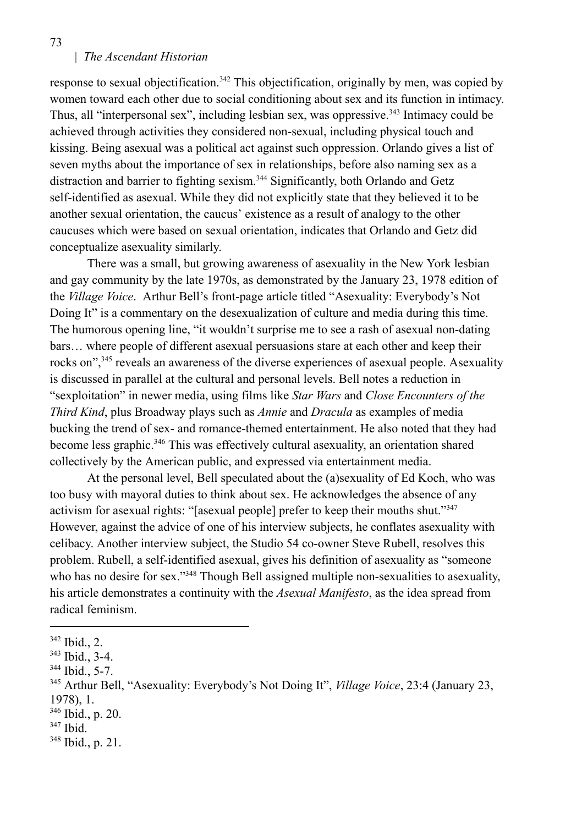response to sexual objectification.<sup>342</sup> This objectification, originally by men, was copied by women toward each other due to social conditioning about sex and its function in intimacy. Thus, all "interpersonal sex", including lesbian sex, was oppressive.<sup>343</sup> Intimacy could be achieved through activities they considered non-sexual, including physical touch and kissing. Being asexual was a political act against such oppression. Orlando gives a list of seven myths about the importance of sex in relationships, before also naming sex as a distraction and barrier to fighting sexism.<sup>344</sup> Significantly, both Orlando and Getz self-identified as asexual. While they did not explicitly state that they believed it to be another sexual orientation, the caucus' existence as a result of analogy to the other caucuses which were based on sexual orientation, indicates that Orlando and Getz did conceptualize asexuality similarly.

There was a small, but growing awareness of asexuality in the New York lesbian and gay community by the late 1970s, as demonstrated by the January 23, 1978 edition of the *Village Voice*. Arthur Bell's front-page article titled "Asexuality: Everybody's Not Doing It" is a commentary on the desexualization of culture and media during this time. The humorous opening line, "it wouldn't surprise me to see a rash of asexual non-dating bars… where people of different asexual persuasions stare at each other and keep their rocks on",<sup>345</sup> reveals an awareness of the diverse experiences of asexual people. Asexuality is discussed in parallel at the cultural and personal levels. Bell notes a reduction in "sexploitation" in newer media, using films like *Star Wars* and *Close Encounters of the Third Kind*, plus Broadway plays such as *Annie* and *Dracula* as examples of media bucking the trend of sex- and romance-themed entertainment. He also noted that they had become less graphic.<sup>346</sup> This was effectively cultural asexuality, an orientation shared collectively by the American public, and expressed via entertainment media.

At the personal level, Bell speculated about the (a)sexuality of Ed Koch, who was too busy with mayoral duties to think about sex. He acknowledges the absence of any activism for asexual rights: "[asexual people] prefer to keep their mouths shut."<sup>347</sup> However, against the advice of one of his interview subjects, he conflates asexuality with celibacy. Another interview subject, the Studio 54 co-owner Steve Rubell, resolves this problem. Rubell, a self-identified asexual, gives his definition of asexuality as "someone who has no desire for sex."<sup>348</sup> Though Bell assigned multiple non-sexualities to asexuality, his article demonstrates a continuity with the *Asexual Manifesto*, as the idea spread from radical feminism.

347 Ibid.

<sup>342</sup> Ibid., 2.

<sup>343</sup> Ibid., 3-4.

<sup>344</sup> Ibid., 5-7.

<sup>345</sup> Arthur Bell, "Asexuality: Everybody's Not Doing It", *Village Voice*, 23:4 (January 23, 1978), 1.

<sup>346</sup> Ibid., p. 20.

<sup>348</sup> Ibid., p. 21.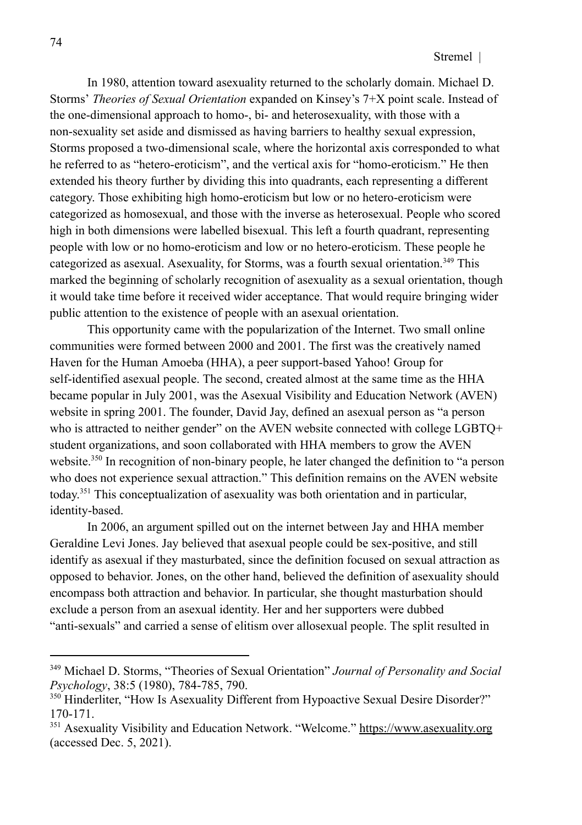In 1980, attention toward asexuality returned to the scholarly domain. Michael D. Storms' *Theories of Sexual Orientation* expanded on Kinsey's 7+X point scale. Instead of the one-dimensional approach to homo-, bi- and heterosexuality, with those with a non-sexuality set aside and dismissed as having barriers to healthy sexual expression, Storms proposed a two-dimensional scale, where the horizontal axis corresponded to what he referred to as "hetero-eroticism", and the vertical axis for "homo-eroticism." He then extended his theory further by dividing this into quadrants, each representing a different category. Those exhibiting high homo-eroticism but low or no hetero-eroticism were categorized as homosexual, and those with the inverse as heterosexual. People who scored high in both dimensions were labelled bisexual. This left a fourth quadrant, representing people with low or no homo-eroticism and low or no hetero-eroticism. These people he categorized as asexual. Asexuality, for Storms, was a fourth sexual orientation.<sup>349</sup> This marked the beginning of scholarly recognition of asexuality as a sexual orientation, though it would take time before it received wider acceptance. That would require bringing wider public attention to the existence of people with an asexual orientation.

This opportunity came with the popularization of the Internet. Two small online communities were formed between 2000 and 2001. The first was the creatively named Haven for the Human Amoeba (HHA), a peer support-based Yahoo! Group for self-identified asexual people. The second, created almost at the same time as the HHA became popular in July 2001, was the Asexual Visibility and Education Network (AVEN) website in spring 2001. The founder, David Jay, defined an asexual person as "a person who is attracted to neither gender" on the AVEN website connected with college LGBTQ+ student organizations, and soon collaborated with HHA members to grow the AVEN website.<sup>350</sup> In recognition of non-binary people, he later changed the definition to "a person who does not experience sexual attraction." This definition remains on the AVEN website today. <sup>351</sup> This conceptualization of asexuality was both orientation and in particular, identity-based.

In 2006, an argument spilled out on the internet between Jay and HHA member Geraldine Levi Jones. Jay believed that asexual people could be sex-positive, and still identify as asexual if they masturbated, since the definition focused on sexual attraction as opposed to behavior. Jones, on the other hand, believed the definition of asexuality should encompass both attraction and behavior. In particular, she thought masturbation should exclude a person from an asexual identity. Her and her supporters were dubbed "anti-sexuals" and carried a sense of elitism over allosexual people. The split resulted in

<sup>349</sup> Michael D. Storms, "Theories of Sexual Orientation" *Journal of Personality and Social Psychology*, 38:5 (1980), 784-785, 790.

<sup>&</sup>lt;sup>350</sup> Hinderliter, "How Is Asexuality Different from Hypoactive Sexual Desire Disorder?" 170-171.

<sup>&</sup>lt;sup>351</sup> Asexuality Visibility and Education Network. "Welcome." https://www.asexuality.org (accessed Dec. 5, 2021).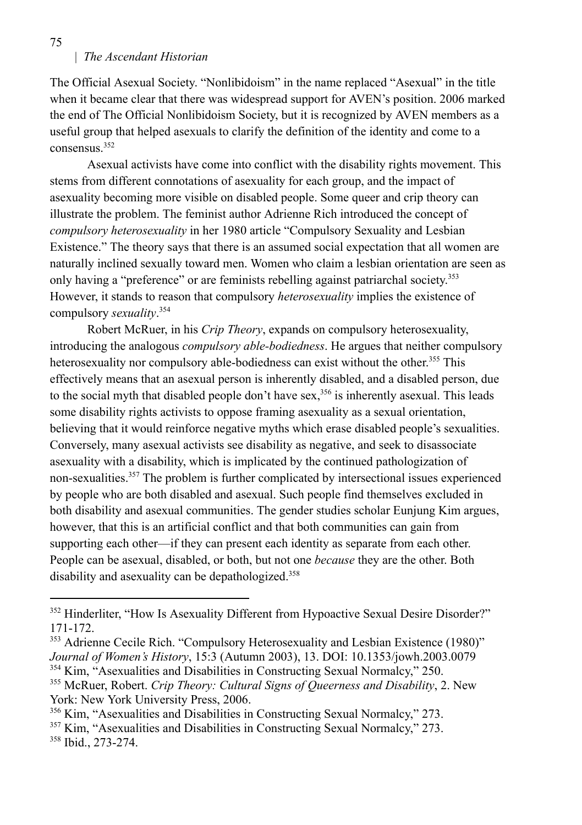The Official Asexual Society. "Nonlibidoism" in the name replaced "Asexual" in the title when it became clear that there was widespread support for AVEN's position. 2006 marked the end of The Official Nonlibidoism Society, but it is recognized by AVEN members as a useful group that helped asexuals to clarify the definition of the identity and come to a consensus.<sup>352</sup>

Asexual activists have come into conflict with the disability rights movement. This stems from different connotations of asexuality for each group, and the impact of asexuality becoming more visible on disabled people. Some queer and crip theory can illustrate the problem. The feminist author Adrienne Rich introduced the concept of *compulsory heterosexuality* in her 1980 article "Compulsory Sexuality and Lesbian Existence." The theory says that there is an assumed social expectation that all women are naturally inclined sexually toward men. Women who claim a lesbian orientation are seen as only having a "preference" or are feminists rebelling against patriarchal society.<sup>353</sup> However, it stands to reason that compulsory *heterosexuality* implies the existence of compulsory *sexuality*. 354

Robert McRuer, in his *Crip Theory*, expands on compulsory heterosexuality, introducing the analogous *compulsory able-bodiedness*. He argues that neither compulsory heterosexuality nor compulsory able-bodiedness can exist without the other. <sup>355</sup> This effectively means that an asexual person is inherently disabled, and a disabled person, due to the social myth that disabled people don't have sex,<sup>356</sup> is inherently asexual. This leads some disability rights activists to oppose framing asexuality as a sexual orientation, believing that it would reinforce negative myths which erase disabled people's sexualities. Conversely, many asexual activists see disability as negative, and seek to disassociate asexuality with a disability, which is implicated by the continued pathologization of non-sexualities.<sup>357</sup> The problem is further complicated by intersectional issues experienced by people who are both disabled and asexual. Such people find themselves excluded in both disability and asexual communities. The gender studies scholar Eunjung Kim argues, however, that this is an artificial conflict and that both communities can gain from supporting each other—if they can present each identity as separate from each other. People can be asexual, disabled, or both, but not one *because* they are the other. Both disability and asexuality can be depathologized.<sup>358</sup>

<sup>356</sup> Kim, "Asexualities and Disabilities in Constructing Sexual Normalcy," 273.

358 Ibid., 273-274.

<sup>&</sup>lt;sup>352</sup> Hinderliter, "How Is Asexuality Different from Hypoactive Sexual Desire Disorder?" 171-172.

<sup>354</sup> Kim, "Asexualities and Disabilities in Constructing Sexual Normalcy," 250. <sup>353</sup> Adrienne Cecile Rich. "Compulsory Heterosexuality and Lesbian Existence (1980)" *Journal of Women's History*, 15:3 (Autumn 2003), 13. DOI: 10.1353/jowh.2003.0079

<sup>355</sup> McRuer, Robert. *Crip Theory: Cultural Signs of Queerness and Disability*, 2. New York: New York University Press, 2006.

<sup>357</sup> Kim, "Asexualities and Disabilities in Constructing Sexual Normalcy," 273.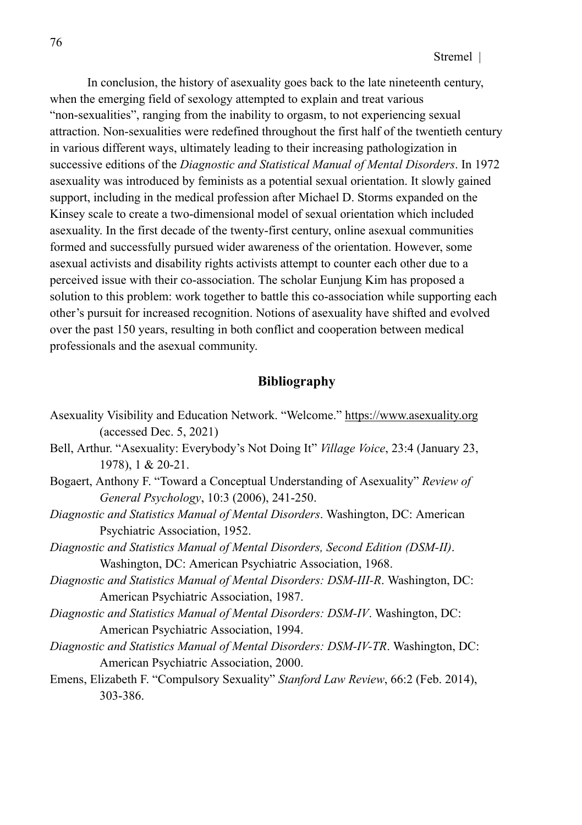In conclusion, the history of asexuality goes back to the late nineteenth century, when the emerging field of sexology attempted to explain and treat various "non-sexualities", ranging from the inability to orgasm, to not experiencing sexual attraction. Non-sexualities were redefined throughout the first half of the twentieth century in various different ways, ultimately leading to their increasing pathologization in successive editions of the *Diagnostic and Statistical Manual of Mental Disorders*. In 1972 asexuality was introduced by feminists as a potential sexual orientation. It slowly gained support, including in the medical profession after Michael D. Storms expanded on the Kinsey scale to create a two-dimensional model of sexual orientation which included asexuality. In the first decade of the twenty-first century, online asexual communities formed and successfully pursued wider awareness of the orientation. However, some asexual activists and disability rights activists attempt to counter each other due to a perceived issue with their co-association. The scholar Eunjung Kim has proposed a solution to this problem: work together to battle this co-association while supporting each other's pursuit for increased recognition. Notions of asexuality have shifted and evolved over the past 150 years, resulting in both conflict and cooperation between medical professionals and the asexual community.

## **Bibliography**

- Asexuality Visibility and Education Network. "Welcome." https://www.asexuality.org (accessed Dec. 5, 2021)
- Bell, Arthur. "Asexuality: Everybody's Not Doing It" *Village Voice*, 23:4 (January 23, 1978), 1 & 20-21.
- Bogaert, Anthony F. "Toward a Conceptual Understanding of Asexuality" *Review of General Psychology*, 10:3 (2006), 241-250.
- *Diagnostic and Statistics Manual of Mental Disorders*. Washington, DC: American Psychiatric Association, 1952.
- *Diagnostic and Statistics Manual of Mental Disorders, Second Edition (DSM-II)*. Washington, DC: American Psychiatric Association, 1968.
- *Diagnostic and Statistics Manual of Mental Disorders: DSM-III-R*. Washington, DC: American Psychiatric Association, 1987.
- *Diagnostic and Statistics Manual of Mental Disorders: DSM-IV*. Washington, DC: American Psychiatric Association, 1994.
- *Diagnostic and Statistics Manual of Mental Disorders: DSM-IV-TR*. Washington, DC: American Psychiatric Association, 2000.
- Emens, Elizabeth F. "Compulsory Sexuality" *Stanford Law Review*, 66:2 (Feb. 2014), 303-386.